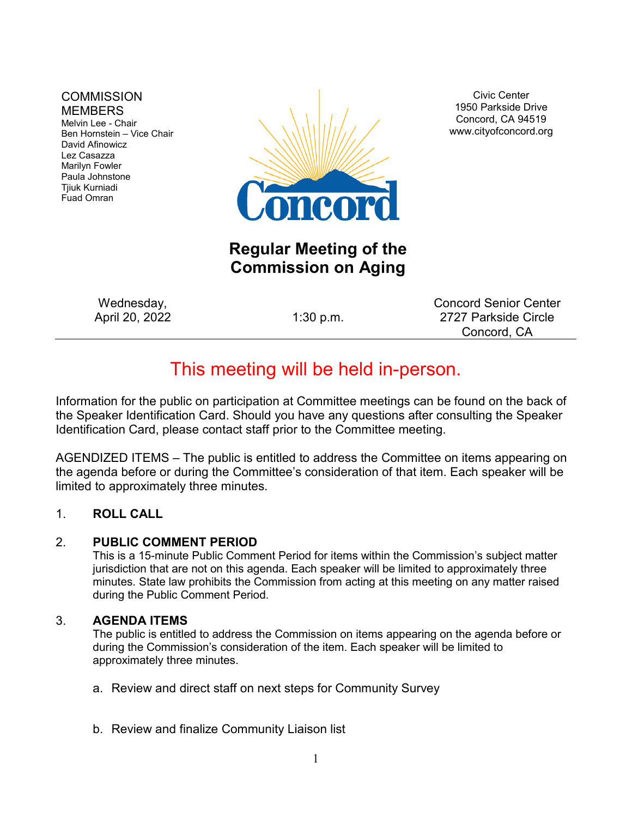#### **COMMISSION MEMBERS**

Melvin Lee - Chair Ben Hornstein – Vice Chair David Afinowicz Lez Casazza Marilyn Fowler Paula Johnstone Tjiuk Kurniadi Fuad Omran



Civic Center 1950 Parkside Drive Concord, CA 94519 www.cityofconcord.org

# **Regular Meeting of the Commission on Aging**

Wednesday, April 20, 2022 1:30 p.m.

Concord Senior Center 2727 Parkside Circle Concord, CA

# This meeting will be held in-person.

Information for the public on participation at Committee meetings can be found on the back of the Speaker Identification Card. Should you have any questions after consulting the Speaker Identification Card, please contact staff prior to the Committee meeting.

AGENDIZED ITEMS – The public is entitled to address the Committee on items appearing on the agenda before or during the Committee's consideration of that item. Each speaker will be limited to approximately three minutes.

## 1. **ROLL CALL**

#### 2. **PUBLIC COMMENT PERIOD**

This is a 15-minute Public Comment Period for items within the Commission's subject matter jurisdiction that are not on this agenda. Each speaker will be limited to approximately three minutes. State law prohibits the Commission from acting at this meeting on any matter raised during the Public Comment Period.

#### 3. **AGENDA ITEMS**

The public is entitled to address the Commission on items appearing on the agenda before or during the Commission's consideration of the item. Each speaker will be limited to approximately three minutes.

- a. Review and direct staff on next steps for Community Survey
- b. Review and finalize Community Liaison list